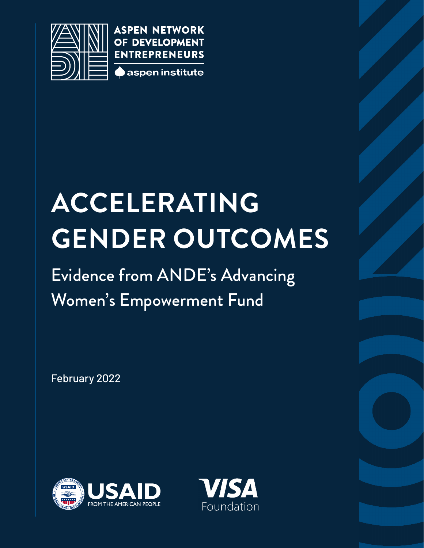

**ASPEN NETWORK** OF DEVELOPMENT **ENTREPRENEURS** aspen institute

# **ACCELERATING GENDER OUTCOMES**

### Evidence from ANDE's Advancing Women's Empowerment Fund

February 2022



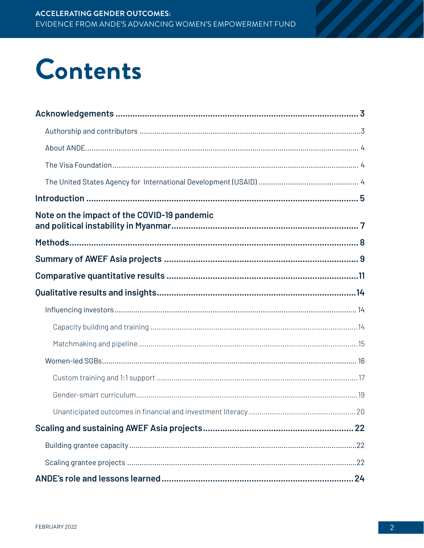### Contents

| Note on the impact of the COVID-19 pandemic |  |
|---------------------------------------------|--|
|                                             |  |
|                                             |  |
|                                             |  |
|                                             |  |
|                                             |  |
|                                             |  |
|                                             |  |
|                                             |  |
|                                             |  |
|                                             |  |
|                                             |  |
|                                             |  |
|                                             |  |
|                                             |  |
|                                             |  |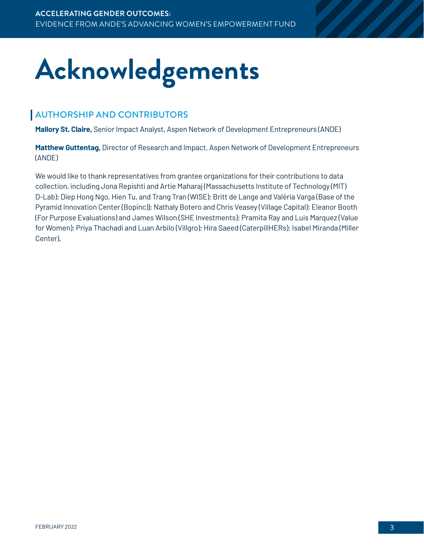## <span id="page-2-0"></span>**Acknowledgements**

#### AUTHORSHIP AND CONTRIBUTORS

**Mallory St. Claire,** Senior Impact Analyst, Aspen Network of Development Entrepreneurs (ANDE)

**Matthew Guttentag,** Director of Research and Impact, Aspen Network of Development Entrepreneurs (ANDE)

We would like to thank representatives from grantee organizations for their contributions to data collection, including Jona Repishti and Artie Maharaj (Massachusetts Institute of Technology (MIT) D-Lab); Diep Hong Ngo, Hien Tu, and Trang Tran (WISE); Britt de Lange and Valéria Varga (Base of the Pyramid Innovation Center (Bopinc)); Nathaly Botero and Chris Veasey (Village Capital); Eleanor Booth (For Purpose Evaluations) and James Wilson (SHE Investments); Pramita Ray and Luis Marquez (Value for Women); Priya Thachadi and Luan Arbilo (Villgro); Hira Saeed (CaterpillHERs); Isabel Miranda (Miller Center).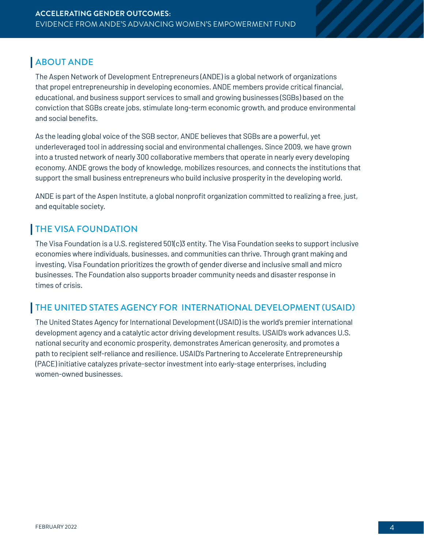#### <span id="page-3-0"></span>ABOUT ANDE

The Aspen Network of Development Entrepreneurs (ANDE) is a global network of organizations that propel entrepreneurship in developing economies. ANDE members provide critical financial, educational, and business support services to small and growing businesses (SGBs) based on the conviction that SGBs create jobs, stimulate long-term economic growth, and produce environmental and social benefits.

As the leading global voice of the SGB sector, ANDE believes that SGBs are a powerful, yet underleveraged tool in addressing social and environmental challenges. Since 2009, we have grown into a trusted network of nearly 300 collaborative members that operate in nearly every developing economy. ANDE grows the body of knowledge, mobilizes resources, and connects the institutions that support the small business entrepreneurs who build inclusive prosperity in the developing world.

ANDE is part of the Aspen Institute, a global nonprofit organization committed to realizing a free, just, and equitable society.

#### THE VISA FOUNDATION

The Visa Foundation is a U.S. registered 501(c)3 entity. The Visa Foundation seeks to support inclusive economies where individuals, businesses, and communities can thrive. Through grant making and investing, Visa Foundation prioritizes the growth of gender diverse and inclusive small and micro businesses. The Foundation also supports broader community needs and disaster response in times of crisis.

#### THE UNITED STATES AGENCY FOR INTERNATIONAL DEVELOPMENT (USAID)

The United States Agency for International Development (USAID) is the world's premier international development agency and a catalytic actor driving development results. USAID's work advances U.S. national security and economic prosperity, demonstrates American generosity, and promotes a path to recipient self-reliance and resilience. USAID's Partnering to Accelerate Entrepreneurship (PACE) initiative catalyzes private-sector investment into early-stage enterprises, including women-owned businesses.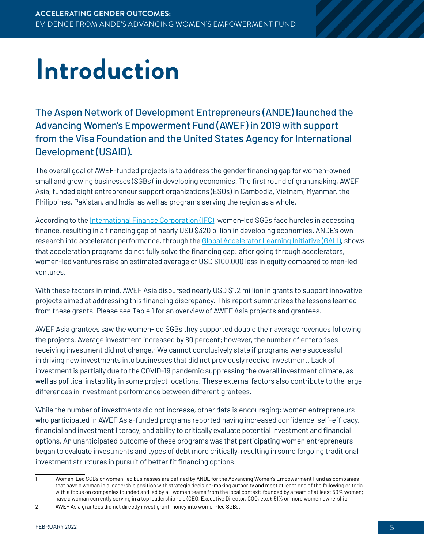## <span id="page-4-0"></span>**Introduction**

The Aspen Network of Development Entrepreneurs (ANDE) launched the Advancing Women's Empowerment Fund (AWEF) in 2019 with support from the Visa Foundation and the United States Agency for International Development (USAID).

The overall goal of AWEF-funded projects is to address the gender financing gap for women-owned small and growing businesses (SGBs)<sup>)</sup> in developing economies. The first round of grantmaking, AWEF Asia, funded eight entrepreneur support organizations (ESOs) in Cambodia, Vietnam, Myanmar, the Philippines, Pakistan, and India, as well as programs serving the region as a whole.

According to the [International Finance Corporation \(IFC\)](https://www.ifc.org/wps/wcm/connect/d7623440-8bb4-4827-9ce5-470dcb6f86b1/Entrepreneurship+Offering+Brochure+July2017.pdf?MOD=AJPERES&CVID=lQps6KM), women-led SGBs face hurdles in accessing finance, resulting in a financing gap of nearly USD \$320 billion in developing economies. ANDE's own research into accelerator performance, through the [Global Accelerator Learning Initiative \(GALI\)](https://www.galidata.org/publications/accelerating-women-led-startups/), shows that acceleration programs do not fully solve the financing gap: after going through accelerators, women-led ventures raise an estimated average of USD \$100,000 less in equity compared to men-led ventures.

With these factors in mind, AWEF Asia disbursed nearly USD \$1.2 million in grants to support innovative projects aimed at addressing this financing discrepancy. This report summarizes the lessons learned from these grants. Please see Table 1 for an overview of AWEF Asia projects and grantees.

AWEF Asia grantees saw the women-led SGBs they supported double their average revenues following the projects. Average investment increased by 80 percent; however, the number of enterprises receiving investment did not change. 2 We cannot conclusively state if programs were successful in driving new investments into businesses that did not previously receive investment. Lack of investment is partially due to the COVID-19 pandemic suppressing the overall investment climate, as well as political instability in some project locations. These external factors also contribute to the large differences in investment performance between different grantees.

While the number of investments did not increase, other data is encouraging: women entrepreneurs who participated in AWEF Asia-funded programs reported having increased confidence, self-efficacy, financial and investment literacy, and ability to critically evaluate potential investment and financial options. An unanticipated outcome of these programs was that participating women entrepreneurs began to evaluate investments and types of debt more critically, resulting in some forgoing traditional investment structures in pursuit of better fit financing options.

<sup>1</sup> Women-Led SGBs or women-led businesses are defined by ANDE for the Advancing Women's Empowerment Fund as companies that have a woman in a leadership position with strategic decision-making authority and meet at least one of the following criteria with a focus on companies founded and led by all-women teams from the local context: founded by a team of at least 50% women; have a woman currently serving in a top leadership role (CEO, Executive Director, COO, etc.); 51% or more women ownership

<sup>2</sup> AWEF Asia grantees did not directly invest grant money into women-led SGBs.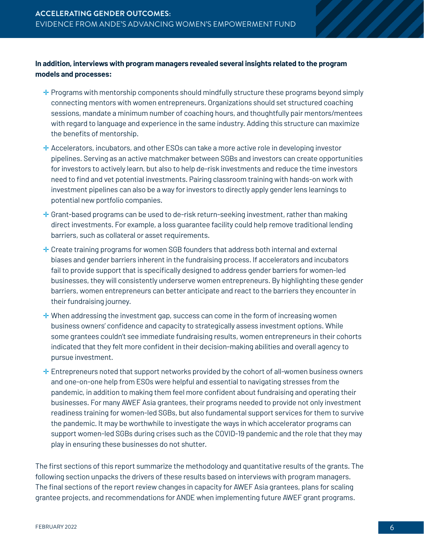#### **In addition, interviews with program managers revealed several insights related to the program models and processes:**

- **<sup>→</sup>** Programs with mentorship components should mindfully structure these programs beyond simply connecting mentors with women entrepreneurs. Organizations should set structured coaching sessions, mandate a minimum number of coaching hours, and thoughtfully pair mentors/mentees with regard to language and experience in the same industry. Adding this structure can maximize the benefits of mentorship.
- ✛ Accelerators, incubators, and other ESOs can take a more active role in developing investor pipelines. Serving as an active matchmaker between SGBs and investors can create opportunities for investors to actively learn, but also to help de-risk investments and reduce the time investors need to find and vet potential investments. Pairing classroom training with hands-on work with investment pipelines can also be a way for investors to directly apply gender lens learnings to potential new portfolio companies.
- $\div$  Grant-based programs can be used to de-risk return-seeking investment, rather than making direct investments. For example, a loss guarantee facility could help remove traditional lending barriers, such as collateral or asset requirements.
- ✛ Create training programs for women SGB founders that address both internal and external biases and gender barriers inherent in the fundraising process. If accelerators and incubators fail to provide support that is specifically designed to address gender barriers for women-led businesses, they will consistently underserve women entrepreneurs. By highlighting these gender barriers, women entrepreneurs can better anticipate and react to the barriers they encounter in their fundraising journey.
- $\pm$  When addressing the investment gap, success can come in the form of increasing women business owners' confidence and capacity to strategically assess investment options. While some grantees couldn't see immediate fundraising results, women entrepreneurs in their cohorts indicated that they felt more confident in their decision-making abilities and overall agency to pursue investment.
- $\pm$  Entrepreneurs noted that support networks provided by the cohort of all-women business owners and one-on-one help from ESOs were helpful and essential to navigating stresses from the pandemic, in addition to making them feel more confident about fundraising and operating their businesses. For many AWEF Asia grantees, their programs needed to provide not only investment readiness training for women-led SGBs, but also fundamental support services for them to survive the pandemic. It may be worthwhile to investigate the ways in which accelerator programs can support women-led SGBs during crises such as the COVID-19 pandemic and the role that they may play in ensuring these businesses do not shutter.

The first sections of this report summarize the methodology and quantitative results of the grants. The following section unpacks the drivers of these results based on interviews with program managers. The final sections of the report review changes in capacity for AWEF Asia grantees, plans for scaling grantee projects, and recommendations for ANDE when implementing future AWEF grant programs.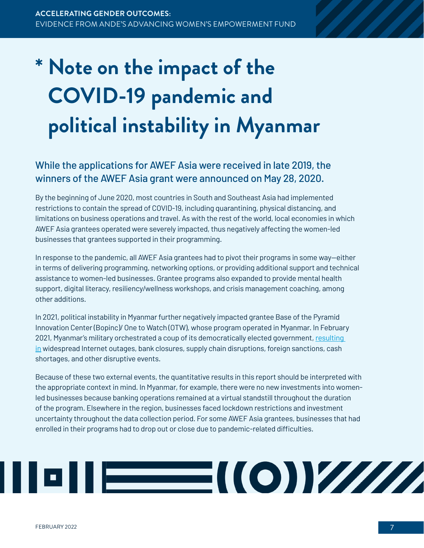### <span id="page-6-0"></span>**\* Note on the impact of the COVID-19 pandemic and political instability in Myanmar**

### While the applications for AWEF Asia were received in late 2019, the winners of the AWEF Asia grant were announced on May 28, 2020.

By the beginning of June 2020, most countries in South and Southeast Asia had implemented restrictions to contain the spread of COVID-19, including quarantining, physical distancing, and limitations on business operations and travel. As with the rest of the world, local economies in which AWEF Asia grantees operated were severely impacted, thus negatively affecting the women-led businesses that grantees supported in their programming.

In response to the pandemic, all AWEF Asia grantees had to pivot their programs in some way—either in terms of delivering programming, networking options, or providing additional support and technical assistance to women-led businesses. Grantee programs also expanded to provide mental health support, digital literacy, resiliency/wellness workshops, and crisis management coaching, among other additions.

In 2021, political instability in Myanmar further negatively impacted grantee Base of the Pyramid Innovation Center (Bopinc)/ One to Watch (OTW), whose program operated in Myanmar. In February 2021, Myanmar's military orchestrated a coup of its democratically elected government, resulting [in](https://www.asia-pacific.undp.org/content/rbap/en/home/library/democratic_governance/covid-19-coup-d-etat-and-poverty-impact-on-myanmar.html) widespread Internet outages, bank closures, supply chain disruptions, foreign sanctions, cash shortages, and other disruptive events.

Because of these two external events, the quantitative results in this report should be interpreted with the appropriate context in mind. In Myanmar, for example, there were no new investments into womenled businesses because banking operations remained at a virtual standstill throughout the duration of the program. Elsewhere in the region, businesses faced lockdown restrictions and investment uncertainty throughout the data collection period. For some AWEF Asia grantees, businesses that had enrolled in their programs had to drop out or close due to pandemic-related difficulties.

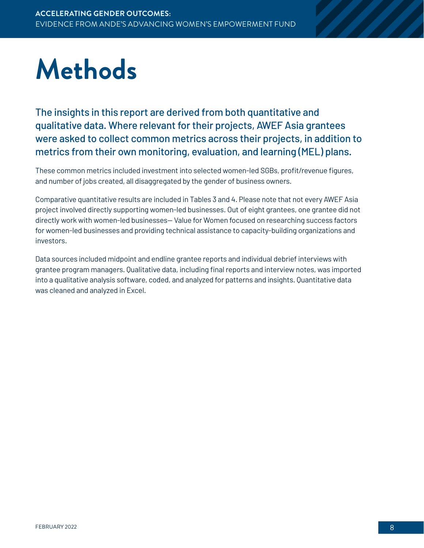## <span id="page-7-0"></span>**Methods**

The insights in this report are derived from both quantitative and qualitative data. Where relevant for their projects, AWEF Asia grantees were asked to collect common metrics across their projects, in addition to metrics from their own monitoring, evaluation, and learning (MEL) plans.

These common metrics included investment into selected women-led SGBs, profit/revenue figures, and number of jobs created, all disaggregated by the gender of business owners.

Comparative quantitative results are included in Tables 3 and 4. Please note that not every AWEF Asia project involved directly supporting women-led businesses. Out of eight grantees, one grantee did not directly work with women-led businesses— Value for Women focused on researching success factors for women-led businesses and providing technical assistance to capacity-building organizations and investors.

Data sources included midpoint and endline grantee reports and individual debrief interviews with grantee program managers. Qualitative data, including final reports and interview notes, was imported into a qualitative analysis software, coded, and analyzed for patterns and insights. Quantitative data was cleaned and analyzed in Excel.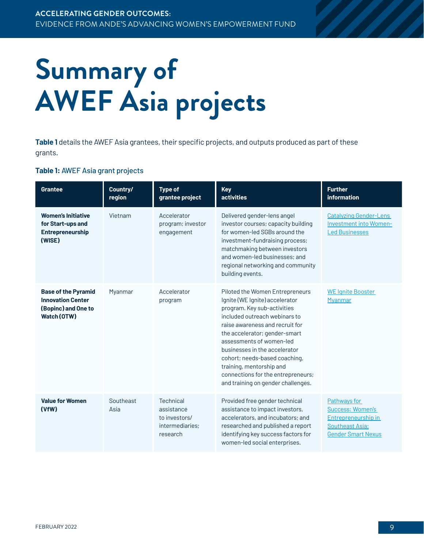## <span id="page-8-0"></span>**Summary of AWEF Asia projects**

**Table 1** details the AWEF Asia grantees, their specific projects, and outputs produced as part of these grants.

#### **Table 1:** AWEF Asia grant projects

| Grantee                                                                                      | Country/<br>region | <b>Type of</b><br>grantee project                                                                                                                                                                                                                                                                                   | <b>Key</b><br><b>activities</b>                                                                                                                                                                                                                                                                                                                                                                             | <b>Further</b><br>information                                                                                  |
|----------------------------------------------------------------------------------------------|--------------------|---------------------------------------------------------------------------------------------------------------------------------------------------------------------------------------------------------------------------------------------------------------------------------------------------------------------|-------------------------------------------------------------------------------------------------------------------------------------------------------------------------------------------------------------------------------------------------------------------------------------------------------------------------------------------------------------------------------------------------------------|----------------------------------------------------------------------------------------------------------------|
| <b>Women's Initiative</b><br>for Start-ups and<br>Entrepreneurship<br>(WISE)                 | Vietnam            | Delivered gender-lens angel<br>Accelerator<br>program; investor<br>investor courses; capacity building<br>for women-led SGBs around the<br>engagement<br>investment-fundraising process;<br>matchmaking between investors<br>and women-led businesses; and<br>regional networking and community<br>building events. |                                                                                                                                                                                                                                                                                                                                                                                                             | <b>Catalyzing Gender-Lens</b><br>Investment into Women-<br><b>Led Businesses</b>                               |
| <b>Base of the Pyramid</b><br><b>Innovation Center</b><br>(Bopinc) and One to<br>Watch (OTW) | Myanmar            | Accelerator<br>program                                                                                                                                                                                                                                                                                              | Piloted the Women Entrepreneurs<br>Ignite (WE Ignite) accelerator<br>program. Key sub-activities<br>included outreach webinars to<br>raise awareness and recruit for<br>the accelerator; gender-smart<br>assessments of women-led<br>businesses in the accelerator<br>cohort; needs-based coaching,<br>training, mentorship and<br>connections for the entrepreneurs;<br>and training on gender challenges. | <b>WE Ignite Booster</b><br>Myanmar                                                                            |
| <b>Value for Women</b><br>(VfW)                                                              | Southeast<br>Asia  | Technical<br>assistance<br>to investors/<br>intermediaries:<br>research                                                                                                                                                                                                                                             | Provided free gender technical<br>assistance to impact investors,<br>accelerators, and incubators; and<br>researched and published a report<br>identifying key success factors for<br>women-led social enterprises.                                                                                                                                                                                         | Pathways for<br><b>Success: Women's</b><br>Entrepreneurship in<br>Southeast Asia;<br><b>Gender Smart Nexus</b> |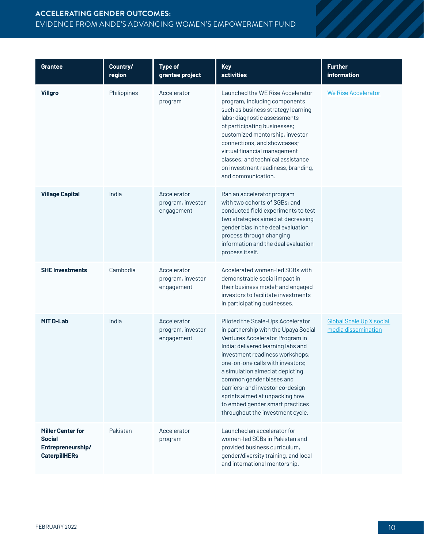#### **ACCELERATING GENDER OUTCOMES:** EVIDENCE FROM ANDE'S ADVANCING WOMEN'S EMPOWERMENT FUND

| <b>Grantee</b>                                                                  | Country/<br>region | <b>Type of</b><br>grantee project              | <b>Key</b><br>activities                                                                                                                                                                                                                                                                                                                                                                                                              | <b>Further</b><br>information                   |
|---------------------------------------------------------------------------------|--------------------|------------------------------------------------|---------------------------------------------------------------------------------------------------------------------------------------------------------------------------------------------------------------------------------------------------------------------------------------------------------------------------------------------------------------------------------------------------------------------------------------|-------------------------------------------------|
| <b>Villgro</b>                                                                  | Philippines        | Accelerator<br>program                         | Launched the WE Rise Accelerator<br>program, including components<br>such as business strategy learning<br>labs; diagnostic assessments<br>of participating businesses;<br>customized mentorship, investor<br>connections, and showcases;<br>virtual financial management<br>classes; and technical assistance<br>on investment readiness, branding,<br>and communication.                                                            | <b>We Rise Accelerator</b>                      |
| <b>Village Capital</b>                                                          | India              | Accelerator<br>program, investor<br>engagement | Ran an accelerator program<br>with two cohorts of SGBs; and<br>conducted field experiments to test<br>two strategies aimed at decreasing<br>gender bias in the deal evaluation<br>process through changing<br>information and the deal evaluation<br>process itself.                                                                                                                                                                  |                                                 |
| <b>SHE Investments</b>                                                          | Cambodia           | Accelerator<br>program, investor<br>engagement | Accelerated women-led SGBs with<br>demonstrable social impact in<br>their business model; and engaged<br>investors to facilitate investments<br>in participating businesses.                                                                                                                                                                                                                                                          |                                                 |
| <b>MIT D-Lab</b>                                                                | India              | Accelerator<br>program, investor<br>engagement | Piloted the Scale-Ups Accelerator<br>in partnership with the Upaya Social<br>Ventures Accelerator Program in<br>India; delivered learning labs and<br>investment readiness workshops;<br>one-on-one calls with investors;<br>a simulation aimed at depicting<br>common gender biases and<br>barriers; and investor co-design<br>sprints aimed at unpacking how<br>to embed gender smart practices<br>throughout the investment cycle. | Global Scale Up X social<br>media dissemination |
| <b>Miller Center for</b><br>Social<br>Entrepreneurship/<br><b>CaterpillHERs</b> | Pakistan           | Accelerator<br>program                         | Launched an accelerator for<br>women-led SGBs in Pakistan and<br>provided business curriculum,<br>gender/diversity training, and local<br>and international mentorship.                                                                                                                                                                                                                                                               |                                                 |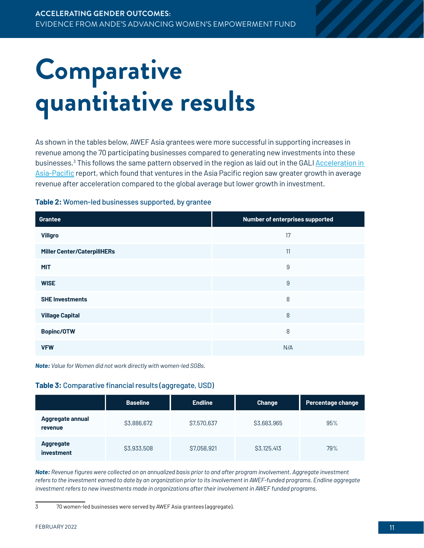## <span id="page-10-0"></span>**Comparative quantitative results**

As shown in the tables below, AWEF Asia grantees were more successful in supporting increases in revenue among the 70 participating businesses compared to generating new investments into these businesses.<sup>3</sup> This follows the same pattern observed in the region as laid out in the GALI <u>Acceleration in</u> [Asia-Pacific](https://www.galidata.org/publications/acceleration-in-asia-pacific-early-impacts-on-participating-ventures/) report, which found that ventures in the Asia Pacific region saw greater growth in average revenue after acceleration compared to the global average but lower growth in investment.

#### **Table 2:** Women-led businesses supported, by grantee

| <b>Grantee</b>                     | Number of enterprises supported |  |
|------------------------------------|---------------------------------|--|
| <b>Villgro</b>                     | 17                              |  |
| <b>Miller Center/CaterpillHERs</b> | 11                              |  |
| <b>MIT</b>                         | 9                               |  |
| <b>WISE</b>                        | 9                               |  |
| <b>SHE Investments</b>             | 8                               |  |
| <b>Village Capital</b>             | 8                               |  |
| <b>Bopinc/OTW</b>                  | 8                               |  |
| <b>VFW</b>                         | N/A                             |  |

*Note: Value for Women did not work directly with women-led SGBs.*

#### **Table 3:** Comparative financial results (aggregate, USD)

|                                | <b>Baseline</b> | <b>Endline</b> | <b>Change</b> | Percentage change |
|--------------------------------|-----------------|----------------|---------------|-------------------|
| Aggregate annual<br>revenue    | \$3,886,672     | \$7,570,637    | \$3,683,965   | 95%               |
| <b>Aggregate</b><br>investment | \$3,933,508     | \$7,058,921    | S3, 125, 413  | 79%               |

*Note: Revenue figures were collected on an annualized basis prior to and after program involvement. Aggregate investment*  refers to the investment earned to date by an organization prior to its involvement in AWEF-funded programs. Endline aggregate *investment refers to new investments made in organizations after their involvement in AWEF funded programs.* 

<sup>3 70</sup> women-led businesses were served by AWEF Asia grantees (aggregate).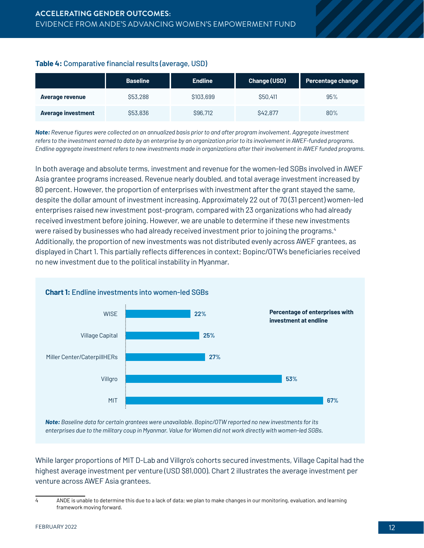#### **Table 4:** Comparative financial results (average, USD)

|                           | <b>Baseline</b> | <b>Endline</b> | <b>Change (USD)</b> | Percentage change |
|---------------------------|-----------------|----------------|---------------------|-------------------|
| Average revenue           | \$53,288        | \$103,699      | \$50,411            | 95%               |
| <b>Average investment</b> | \$53,836        | S96,712        | S42,877             | 80%               |

*Note: Revenue figures were collected on an annualized basis prior to and after program involvement. Aggregate investment refers to the investment earned to date by an enterprise by an organization prior to its involvement in AWEF-funded programs. Endline aggregate investment refers to new investments made in organizations after their involvement in AWEF funded programs.* 

In both average and absolute terms, investment and revenue for the women-led SGBs involved in AWEF Asia grantee programs increased. Revenue nearly doubled, and total average investment increased by 80 percent. However, the proportion of enterprises with investment after the grant stayed the same, despite the dollar amount of investment increasing. Approximately 22 out of 70 (31 percent) women-led enterprises raised new investment post-program, compared with 23 organizations who had already received investment before joining. However, we are unable to determine if these new investments were raised by businesses who had already received investment prior to joining the programs. 4 Additionally, the proportion of new investments was not distributed evenly across AWEF grantees, as displayed in Chart 1. This partially reflects differences in context; Bopinc/OTW's beneficiaries received no new investment due to the political instability in Myanmar.



*Note: Baseline data for certain grantees were unavailable. Bopinc/OTW reported no new investments for its enterprises due to the military coup in Myanmar. Value for Women did not work directly with women-led SGBs.* 

While larger proportions of MIT D-Lab and Villgro's cohorts secured investments, Village Capital had the highest average investment per venture (USD \$81,000). Chart 2 illustrates the average investment per venture across AWEF Asia grantees.

<sup>4</sup> ANDE is unable to determine this due to a lack of data; we plan to make changes in our monitoring, evaluation, and learning framework moving forward.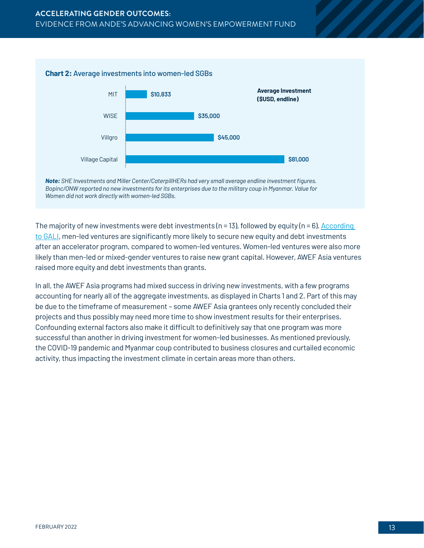



*Note: SHE Investments and Miller Center/CaterpillHERs had very small average endline investment figures. Bopinc/ONW reported no new investments for its enterprises due to the military coup in Myanmar. Value for Women did not work directly with women-led SGBs.* 

The majority of new investments were debt investments ( $n = 13$ ), followed by equity ( $n = 6$ ). According [to GALI](https://www.galidata.org/publications/accelerating-women-led-startups/), men-led ventures are significantly more likely to secure new equity and debt investments after an accelerator program, compared to women-led ventures. Women-led ventures were also more likely than men-led or mixed-gender ventures to raise new grant capital. However, AWEF Asia ventures raised more equity and debt investments than grants.

In all, the AWEF Asia programs had mixed success in driving new investments, with a few programs accounting for nearly all of the aggregate investments, as displayed in Charts 1 and 2. Part of this may be due to the timeframe of measurement – some AWEF Asia grantees only recently concluded their projects and thus possibly may need more time to show investment results for their enterprises. Confounding external factors also make it difficult to definitively say that one program was more successful than another in driving investment for women-led businesses. As mentioned previously, the COVID-19 pandemic and Myanmar coup contributed to business closures and curtailed economic activity, thus impacting the investment climate in certain areas more than others.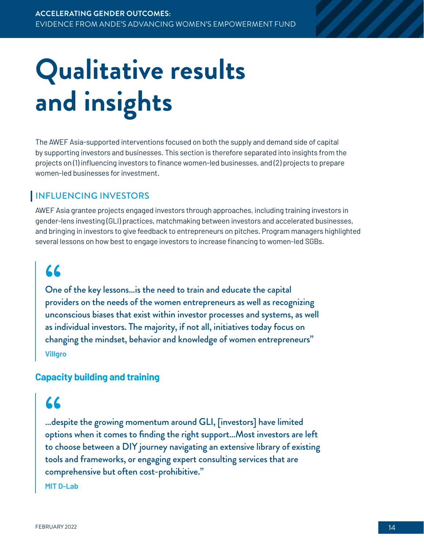## <span id="page-13-0"></span>**Qualitative results and insights**

The AWEF Asia-supported interventions focused on both the supply and demand side of capital by supporting investors and businesses. This section is therefore separated into insights from the projects on (1) influencing investors to finance women-led businesses, and (2) projects to prepare women-led businesses for investment.

#### INFLUENCING INVESTORS

AWEF Asia grantee projects engaged investors through approaches, including training investors in gender-lens investing (GLI) practices, matchmaking between investors and accelerated businesses, and bringing in investors to give feedback to entrepreneurs on pitches. Program managers highlighted several lessons on how best to engage investors to increase financing to women-led SGBs.

### **"**

One of the key lessons…is the need to train and educate the capital providers on the needs of the women entrepreneurs as well as recognizing unconscious biases that exist within investor processes and systems, as well as individual investors. The majority, if not all, initiatives today focus on changing the mindset, behavior and knowledge of women entrepreneurs" **Villgro**

#### **Capacity building and training**

### **"**

…despite the growing momentum around GLI, [investors] have limited options when it comes to finding the right support…Most investors are left to choose between a DIY journey navigating an extensive library of existing tools and frameworks, or engaging expert consulting services that are comprehensive but often cost-prohibitive." **MIT D-Lab**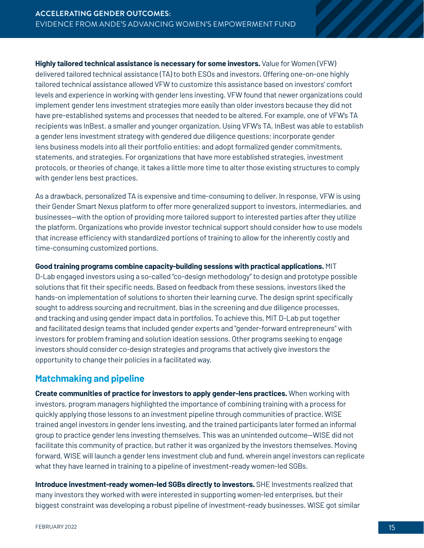<span id="page-14-0"></span>**Highly tailored technical assistance is necessary for some investors.** Value for Women (VFW) delivered tailored technical assistance (TA) to both ESOs and investors. Offering one-on-one highly tailored technical assistance allowed VFW to customize this assistance based on investors' comfort levels and experience in working with gender lens investing. VFW found that newer organizations could implement gender lens investment strategies more easily than older investors because they did not have pre-established systems and processes that needed to be altered. For example, one of VFW's TA recipients was InBest, a smaller and younger organization. Using VFW's TA, InBest was able to establish a gender lens investment strategy with gendered due diligence questions; incorporate gender lens business models into all their portfolio entities; and adopt formalized gender commitments, statements, and strategies. For organizations that have more established strategies, investment protocols, or theories of change, it takes a little more time to alter those existing structures to comply with gender lens best practices.

As a drawback, personalized TA is expensive and time-consuming to deliver. In response, VFW is using their Gender Smart Nexus platform to offer more generalized support to investors, intermediaries, and businesses—with the option of providing more tailored support to interested parties after they utilize the platform. Organizations who provide investor technical support should consider how to use models that increase efficiency with standardized portions of training to allow for the inherently costly and time-consuming customized portions.

**Good training programs combine capacity-building sessions with practical applications.** MIT

D-Lab engaged investors using a so-called "co-design methodology" to design and prototype possible solutions that fit their specific needs. Based on feedback from these sessions, investors liked the hands-on implementation of solutions to shorten their learning curve. The design sprint specifically sought to address sourcing and recruitment, bias in the screening and due diligence processes, and tracking and using gender impact data in portfolios. To achieve this, MIT D-Lab put together and facilitated design teams that included gender experts and "gender-forward entrepreneurs" with investors for problem framing and solution ideation sessions. Other programs seeking to engage investors should consider co-design strategies and programs that actively give investors the opportunity to change their policies in a facilitated way.

#### **Matchmaking and pipeline**

**Create communities of practice for investors to apply gender-lens practices.** When working with investors, program managers highlighted the importance of combining training with a process for quickly applying those lessons to an investment pipeline through communities of practice. WISE trained angel investors in gender lens investing, and the trained participants later formed an informal group to practice gender lens investing themselves. This was an unintended outcome—WISE did not facilitate this community of practice, but rather it was organized by the investors themselves. Moving forward, WISE will launch a gender lens investment club and fund, wherein angel investors can replicate what they have learned in training to a pipeline of investment-ready women-led SGBs.

**Introduce investment-ready women-led SGBs directly to investors.** SHE Investments realized that many investors they worked with were interested in supporting women-led enterprises, but their biggest constraint was developing a robust pipeline of investment-ready businesses. WISE got similar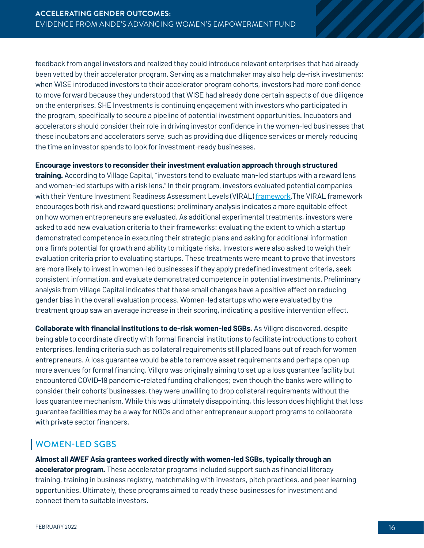<span id="page-15-0"></span>feedback from angel investors and realized they could introduce relevant enterprises that had already been vetted by their accelerator program. Serving as a matchmaker may also help de-risk investments: when WISE introduced investors to their accelerator program cohorts, investors had more confidence to move forward because they understood that WISE had already done certain aspects of due diligence on the enterprises. SHE Investments is continuing engagement with investors who participated in the program, specifically to secure a pipeline of potential investment opportunities. Incubators and accelerators should consider their role in driving investor confidence in the women-led businesses that these incubators and accelerators serve, such as providing due diligence services or merely reducing the time an investor spends to look for investment-ready businesses.

**Encourage investors to reconsider their investment evaluation approach through structured** 

**training.** According to Village Capital, "investors tend to evaluate man-led startups with a reward lens and women-led startups with a risk lens." In their program, investors evaluated potential companies with their Venture Investment Readiness Assessment Levels (VIRAL) [framework.](https://www.youtube.com/watch?v=ArbvZSfbbYA) The VIRAL framework encourages both risk and reward questions; preliminary analysis indicates a more equitable effect on how women entrepreneurs are evaluated. As additional experimental treatments, investors were asked to add new evaluation criteria to their frameworks: evaluating the extent to which a startup demonstrated competence in executing their strategic plans and asking for additional information on a firm's potential for growth and ability to mitigate risks. Investors were also asked to weigh their evaluation criteria prior to evaluating startups. These treatments were meant to prove that investors are more likely to invest in women-led businesses if they apply predefined investment criteria, seek consistent information, and evaluate demonstrated competence in potential investments. Preliminary analysis from Village Capital indicates that these small changes have a positive effect on reducing gender bias in the overall evaluation process. Women-led startups who were evaluated by the treatment group saw an average increase in their scoring, indicating a positive intervention effect.

**Collaborate with financial institutions to de-risk women-led SGBs.** As Villgro discovered, despite being able to coordinate directly with formal financial institutions to facilitate introductions to cohort enterprises, lending criteria such as collateral requirements still placed loans out of reach for women entrepreneurs. A loss guarantee would be able to remove asset requirements and perhaps open up more avenues for formal financing. Villgro was originally aiming to set up a loss guarantee facility but encountered COVID-19 pandemic-related funding challenges; even though the banks were willing to consider their cohorts' businesses, they were unwilling to drop collateral requirements without the loss guarantee mechanism. While this was ultimately disappointing, this lesson does highlight that loss guarantee facilities may be a way for NGOs and other entrepreneur support programs to collaborate with private sector financers.

#### WOMEN-LED SGBS

**Almost all AWEF Asia grantees worked directly with women-led SGBs, typically through an accelerator program.** These accelerator programs included support such as financial literacy training, training in business registry, matchmaking with investors, pitch practices, and peer learning opportunities. Ultimately, these programs aimed to ready these businesses for investment and connect them to suitable investors.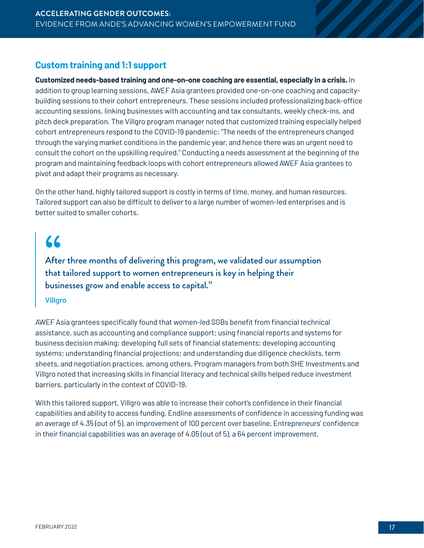#### <span id="page-16-0"></span>**Custom training and 1:1 support**

**Customized needs-based training and one-on-one coaching are essential, especially in a crisis.** In addition to group learning sessions, AWEF Asia grantees provided one-on-one coaching and capacitybuilding sessions to their cohort entrepreneurs. These sessions included professionalizing back-office accounting sessions, linking businesses with accounting and tax consultants, weekly check-ins, and pitch deck preparation. The Villgro program manager noted that customized training especially helped cohort entrepreneurs respond to the COVID-19 pandemic: "The needs of the entrepreneurs changed through the varying market conditions in the pandemic year, and hence there was an urgent need to consult the cohort on the upskilling required." Conducting a needs assessment at the beginning of the program and maintaining feedback loops with cohort entrepreneurs allowed AWEF Asia grantees to pivot and adapt their programs as necessary.

On the other hand, highly tailored support is costly in terms of time, money, and human resources. Tailored support can also be difficult to deliver to a large number of women-led enterprises and is better suited to smaller cohorts.

After three months of delivering this program, we validated our assumption **66**<br>Afte<br>that that tailored support to women entrepreneurs is key in helping their businesses grow and enable access to capital."

#### **Villgro**

AWEF Asia grantees specifically found that women-led SGBs benefit from financial technical assistance, such as accounting and compliance support; using financial reports and systems for business decision making; developing full sets of financial statements; developing accounting systems; understanding financial projections; and understanding due diligence checklists, term sheets, and negotiation practices, among others. Program managers from both SHE Investments and Villgro noted that increasing skills in financial literacy and technical skills helped reduce investment barriers, particularly in the context of COVID-19.

With this tailored support, Villgro was able to increase their cohort's confidence in their financial capabilities and ability to access funding. Endline assessments of confidence in accessing funding was an average of 4.35 (out of 5), an improvement of 100 percent over baseline. Entrepreneurs' confidence in their financial capabilities was an average of 4.05 (out of 5), a 64 percent improvement.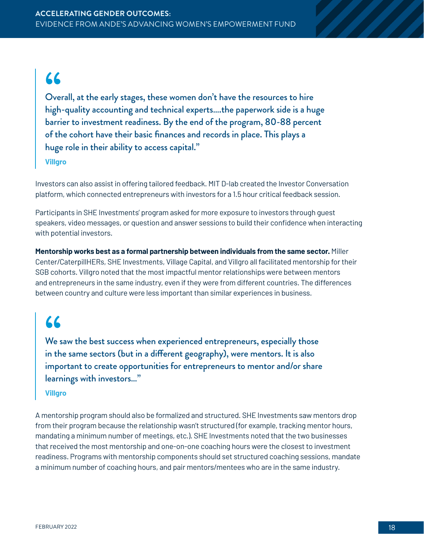### **"**

Overall, at the early stages, these women don't have the resources to hire high-quality accounting and technical experts….the paperwork side is a huge barrier to investment readiness. By the end of the program, 80-88 percent of the cohort have their basic finances and records in place. This plays a huge role in their ability to access capital."

**Villgro** 

Investors can also assist in offering tailored feedback. MIT D-lab created the Investor Conversation platform, which connected entrepreneurs with investors for a 1.5 hour critical feedback session.

Participants in SHE Investments' program asked for more exposure to investors through guest speakers, video messages, or question and answer sessions to build their confidence when interacting with potential investors.

**Mentorship works best as a formal partnership between individuals from the same sector.** Miller Center/CaterpillHERs, SHE Investments, Village Capital, and Villgro all facilitated mentorship for their SGB cohorts. Villgro noted that the most impactful mentor relationships were between mentors and entrepreneurs in the same industry, even if they were from different countries. The differences between country and culture were less important than similar experiences in business.

### **"**

We saw the best success when experienced entrepreneurs, especially those in the same sectors (but in a different geography), were mentors. It is also important to create opportunities for entrepreneurs to mentor and/or share learnings with investors…"

#### **Villgro**

A mentorship program should also be formalized and structured. SHE Investments saw mentors drop from their program because the relationship wasn't structured (for example, tracking mentor hours, mandating a minimum number of meetings, etc.). SHE Investments noted that the two businesses that received the most mentorship and one-on-one coaching hours were the closest to investment readiness. Programs with mentorship components should set structured coaching sessions, mandate a minimum number of coaching hours, and pair mentors/mentees who are in the same industry.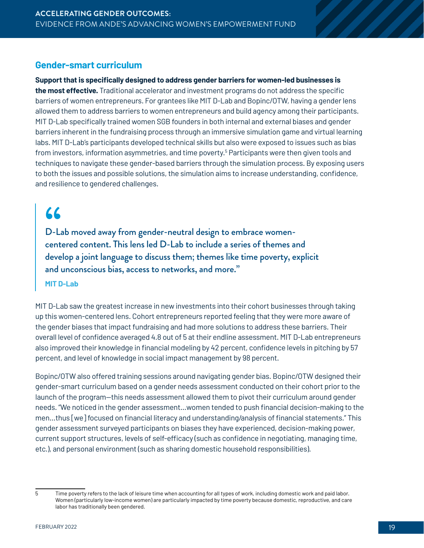#### <span id="page-18-0"></span>**Gender-smart curriculum**

#### **Support that is specifically designed to address gender barriers for women-led businesses is**

**the most effective.** Traditional accelerator and investment programs do not address the specific barriers of women entrepreneurs. For grantees like MIT D-Lab and Bopinc/OTW, having a gender lens allowed them to address barriers to women entrepreneurs and build agency among their participants. MIT D-Lab specifically trained women SGB founders in both internal and external biases and gender barriers inherent in the fundraising process through an immersive simulation game and virtual learning labs. MIT D-Lab's participants developed technical skills but also were exposed to issues such as bias from investors, information asymmetries, and time poverty. 5 Participants were then given tools and techniques to navigate these gender-based barriers through the simulation process. By exposing users to both the issues and possible solutions, the simulation aims to increase understanding, confidence, and resilience to gendered challenges.

### **"**

D-Lab moved away from gender-neutral design to embrace women centered content. This lens led D-Lab to include a series of themes and develop a joint language to discuss them; themes like time poverty, explicit and unconscious bias, access to networks, and more."

#### **MIT D-Lab**

MIT D-Lab saw the greatest increase in new investments into their cohort businesses through taking up this women-centered lens. Cohort entrepreneurs reported feeling that they were more aware of the gender biases that impact fundraising and had more solutions to address these barriers. Their overall level of confidence averaged 4.8 out of 5 at their endline assessment. MIT D-Lab entrepreneurs also improved their knowledge in financial modeling by 42 percent, confidence levels in pitching by 57 percent, and level of knowledge in social impact management by 98 percent.

Bopinc/OTW also offered training sessions around navigating gender bias. Bopinc/OTW designed their gender-smart curriculum based on a gender needs assessment conducted on their cohort prior to the launch of the program—this needs assessment allowed them to pivot their curriculum around gender needs. "We noticed in the gender assessment…women tended to push financial decision-making to the men…thus [we] focused on financial literacy and understanding/analysis of financial statements." This gender assessment surveyed participants on biases they have experienced, decision-making power, current support structures, levels of self-efficacy (such as confidence in negotiating, managing time, etc.), and personal environment (such as sharing domestic household responsibilities).

<sup>5</sup> Time poverty refers to the lack of leisure time when accounting for all types of work, including domestic work and paid labor. Women (particularly low-income women) are particularly impacted by time poverty because domestic, reproductive, and care labor has traditionally been gendered.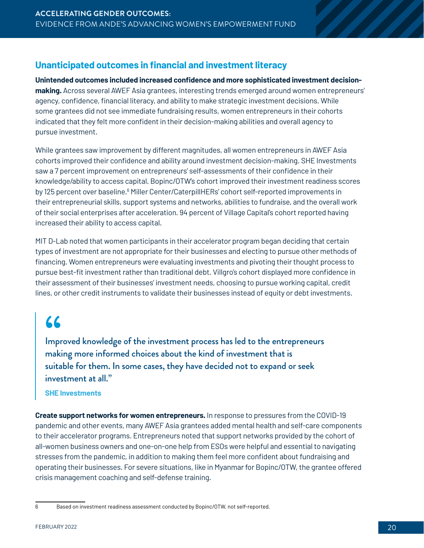#### <span id="page-19-0"></span>**Unanticipated outcomes in financial and investment literacy**

**Unintended outcomes included increased confidence and more sophisticated investment decisionmaking.** Across several AWEF Asia grantees, interesting trends emerged around women entrepreneurs' agency, confidence, financial literacy, and ability to make strategic investment decisions. While some grantees did not see immediate fundraising results, women entrepreneurs in their cohorts indicated that they felt more confident in their decision-making abilities and overall agency to pursue investment.

While grantees saw improvement by different magnitudes, all women entrepreneurs in AWEF Asia cohorts improved their confidence and ability around investment decision-making. SHE Investments saw a 7 percent improvement on entrepreneurs' self-assessments of their confidence in their knowledge/ability to access capital. Bopinc/OTW's cohort improved their investment readiness scores by 125 percent over baseline.<sup>6</sup> Miller Center/CaterpillHERs' cohort self-reported improvements in their entrepreneurial skills, support systems and networks, abilities to fundraise, and the overall work of their social enterprises after acceleration. 94 percent of Village Capital's cohort reported having increased their ability to access capital.

MIT D-Lab noted that women participants in their accelerator program began deciding that certain types of investment are not appropriate for their businesses and electing to pursue other methods of financing. Women entrepreneurs were evaluating investments and pivoting their thought process to pursue best-fit investment rather than traditional debt. Villgro's cohort displayed more confidence in their assessment of their businesses' investment needs, choosing to pursue working capital, credit lines, or other credit instruments to validate their businesses instead of equity or debt investments.

### **"**

Improved knowledge of the investment process has led to the entrepreneurs making more informed choices about the kind of investment that is suitable for them. In some cases, they have decided not to expand or seek investment at all."

#### **SHE Investments**

**Create support networks for women entrepreneurs.** In response to pressures from the COVID-19 pandemic and other events, many AWEF Asia grantees added mental health and self-care components to their accelerator programs. Entrepreneurs noted that support networks provided by the cohort of all-women business owners and one-on-one help from ESOs were helpful and essential to navigating stresses from the pandemic, in addition to making them feel more confident about fundraising and operating their businesses. For severe situations, like in Myanmar for Bopinc/OTW, the grantee offered crisis management coaching and self-defense training.

<sup>6</sup> Based on investment readiness assessment conducted by Bopinc/OTW, not self-reported.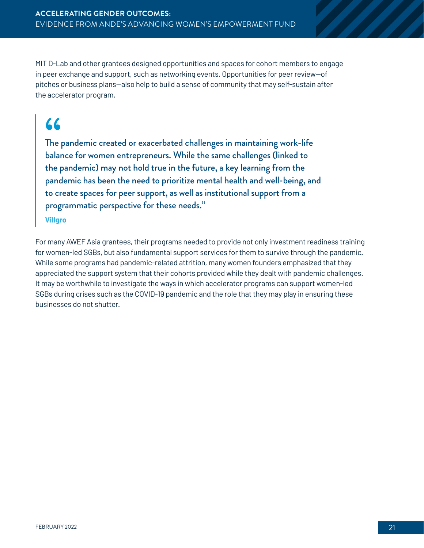MIT D-Lab and other grantees designed opportunities and spaces for cohort members to engage in peer exchange and support, such as networking events. Opportunities for peer review—of pitches or business plans—also help to build a sense of community that may self-sustain after the accelerator program.

### **"**

The pandemic created or exacerbated challenges in maintaining work-life balance for women entrepreneurs. While the same challenges (linked to the pandemic) may not hold true in the future, a key learning from the pandemic has been the need to prioritize mental health and well-being, and to create spaces for peer support, as well as institutional support from a programmatic perspective for these needs."

**Villgro** 

For many AWEF Asia grantees, their programs needed to provide not only investment readiness training for women-led SGBs, but also fundamental support services for them to survive through the pandemic. While some programs had pandemic-related attrition, many women founders emphasized that they appreciated the support system that their cohorts provided while they dealt with pandemic challenges. It may be worthwhile to investigate the ways in which accelerator programs can support women-led SGBs during crises such as the COVID-19 pandemic and the role that they may play in ensuring these businesses do not shutter.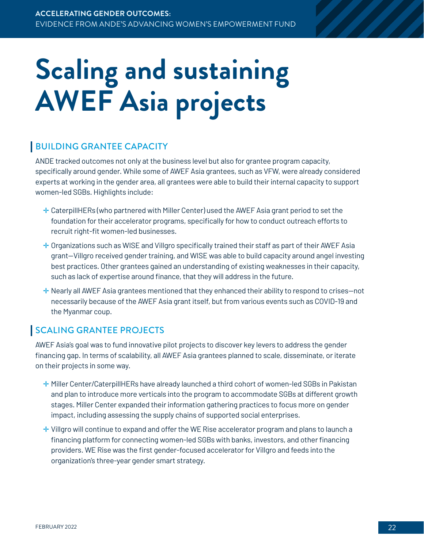## <span id="page-21-0"></span>**Scaling and sustaining AWEF Asia projects**

#### BUILDING GRANTEE CAPACITY

ANDE tracked outcomes not only at the business level but also for grantee program capacity, specifically around gender. While some of AWEF Asia grantees, such as VFW, were already considered experts at working in the gender area, all grantees were able to build their internal capacity to support women-led SGBs. Highlights include:

- ✛ CaterpillHERs (who partnered with Miller Center) used the AWEF Asia grant period to set the foundation for their accelerator programs, specifically for how to conduct outreach efforts to recruit right-fit women-led businesses.
- $\pm$  Organizations such as WISE and Villgro specifically trained their staff as part of their AWEF Asia grant—Villgro received gender training, and WISE was able to build capacity around angel investing best practices. Other grantees gained an understanding of existing weaknesses in their capacity, such as lack of expertise around finance, that they will address in the future.
- $\pm$  Nearly all AWEF Asia grantees mentioned that they enhanced their ability to respond to crises—not necessarily because of the AWEF Asia grant itself, but from various events such as COVID-19 and the Myanmar coup.

#### SCALING GRANTEE PROJECTS

AWEF Asia's goal was to fund innovative pilot projects to discover key levers to address the gender financing gap. In terms of scalability, all AWEF Asia grantees planned to scale, disseminate, or iterate on their projects in some way.

- ✛ Miller Center/CaterpillHERs have already launched a third cohort of women-led SGBs in Pakistan and plan to introduce more verticals into the program to accommodate SGBs at different growth stages. Miller Center expanded their information gathering practices to focus more on gender impact, including assessing the supply chains of supported social enterprises.
- ✛ Villgro will continue to expand and offer the WE Rise accelerator program and plans to launch a financing platform for connecting women-led SGBs with banks, investors, and other financing providers. WE Rise was the first gender-focused accelerator for Villgro and feeds into the organization's three-year gender smart strategy.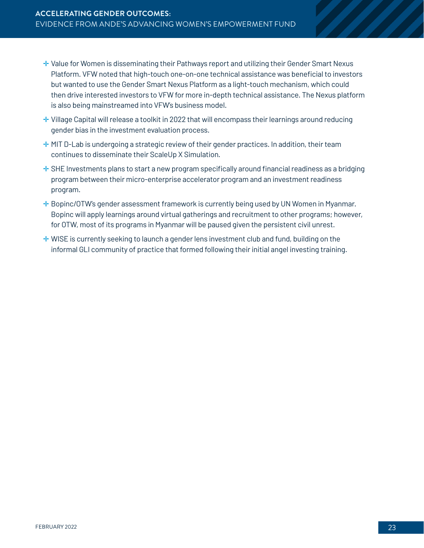- ✛ Value for Women is disseminating their Pathways report and utilizing their Gender Smart Nexus Platform. VFW noted that high-touch one-on-one technical assistance was beneficial to investors but wanted to use the Gender Smart Nexus Platform as a light-touch mechanism, which could then drive interested investors to VFW for more in-depth technical assistance. The Nexus platform is also being mainstreamed into VFW's business model.
- ✛ Village Capital will release a toolkit in 2022 that will encompass their learnings around reducing gender bias in the investment evaluation process.
- $+$  MIT D-Lab is undergoing a strategic review of their gender practices. In addition, their team continues to disseminate their ScaleUp X Simulation.
- $\pm$  SHE Investments plans to start a new program specifically around financial readiness as a bridging program between their micro-enterprise accelerator program and an investment readiness program.
- ✛ Bopinc/OTW's gender assessment framework is currently being used by UN Women in Myanmar. Bopinc will apply learnings around virtual gatherings and recruitment to other programs; however, for OTW, most of its programs in Myanmar will be paused given the persistent civil unrest.
- $+$  WISE is currently seeking to launch a gender lens investment club and fund, building on the informal GLI community of practice that formed following their initial angel investing training.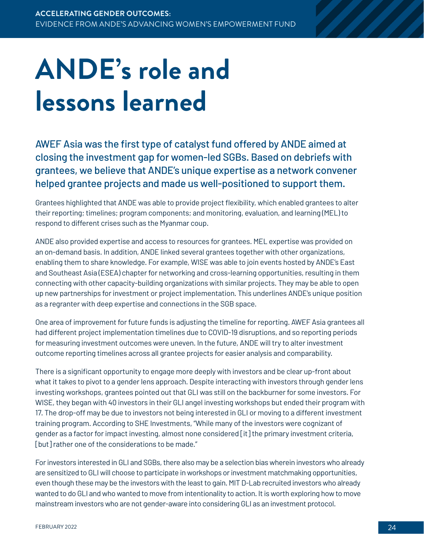## <span id="page-23-0"></span>**ANDE's role and lessons learned**

AWEF Asia was the first type of catalyst fund offered by ANDE aimed at closing the investment gap for women-led SGBs. Based on debriefs with grantees, we believe that ANDE's unique expertise as a network convener helped grantee projects and made us well-positioned to support them.

Grantees highlighted that ANDE was able to provide project flexibility, which enabled grantees to alter their reporting; timelines; program components; and monitoring, evaluation, and learning (MEL) to respond to different crises such as the Myanmar coup.

ANDE also provided expertise and access to resources for grantees. MEL expertise was provided on an on-demand basis. In addition, ANDE linked several grantees together with other organizations, enabling them to share knowledge. For example, WISE was able to join events hosted by ANDE's East and Southeast Asia (ESEA) chapter for networking and cross-learning opportunities, resulting in them connecting with other capacity-building organizations with similar projects. They may be able to open up new partnerships for investment or project implementation. This underlines ANDE's unique position as a regranter with deep expertise and connections in the SGB space.

One area of improvement for future funds is adjusting the timeline for reporting. AWEF Asia grantees all had different project implementation timelines due to COVID-19 disruptions, and so reporting periods for measuring investment outcomes were uneven. In the future, ANDE will try to alter investment outcome reporting timelines across all grantee projects for easier analysis and comparability.

There is a significant opportunity to engage more deeply with investors and be clear up-front about what it takes to pivot to a gender lens approach. Despite interacting with investors through gender lens investing workshops, grantees pointed out that GLI was still on the backburner for some investors. For WISE, they began with 40 investors in their GLI angel investing workshops but ended their program with 17. The drop-off may be due to investors not being interested in GLI or moving to a different investment training program. According to SHE Investments, "While many of the investors were cognizant of gender as a factor for impact investing, almost none considered [it] the primary investment criteria, [but] rather one of the considerations to be made."

For investors interested in GLI and SGBs, there also may be a selection bias wherein investors who already are sensitized to GLI will choose to participate in workshops or investment matchmaking opportunities, even though these may be the investors with the least to gain. MIT D-Lab recruited investors who already wanted to do GLI and who wanted to move from intentionality to action. It is worth exploring how to move mainstream investors who are not gender-aware into considering GLI as an investment protocol.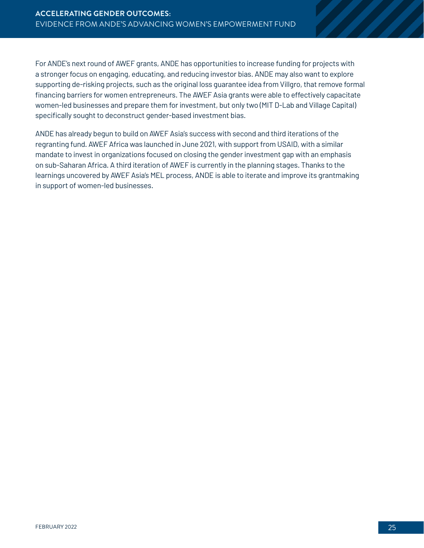For ANDE's next round of AWEF grants, ANDE has opportunities to increase funding for projects with a stronger focus on engaging, educating, and reducing investor bias. ANDE may also want to explore supporting de-risking projects, such as the original loss guarantee idea from Villgro, that remove formal financing barriers for women entrepreneurs. The AWEF Asia grants were able to effectively capacitate women-led businesses and prepare them for investment, but only two (MIT D-Lab and Village Capital) specifically sought to deconstruct gender-based investment bias.

ANDE has already begun to build on AWEF Asia's success with second and third iterations of the regranting fund. AWEF Africa was launched in June 2021, with support from USAID, with a similar mandate to invest in organizations focused on closing the gender investment gap with an emphasis on sub-Saharan Africa. A third iteration of AWEF is currently in the planning stages. Thanks to the learnings uncovered by AWEF Asia's MEL process, ANDE is able to iterate and improve its grantmaking in support of women-led businesses.